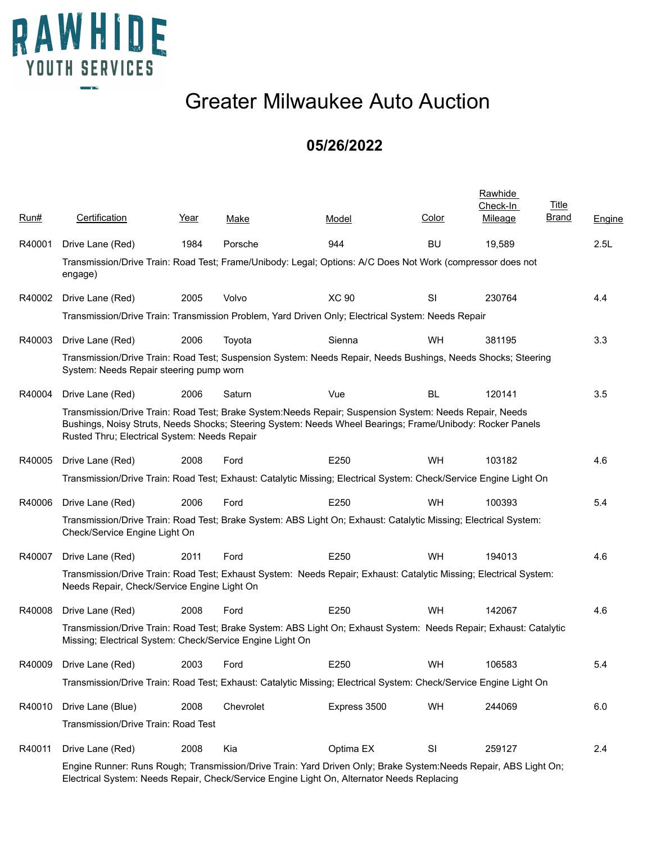

## Greater Milwaukee Auto Auction

## **05/26/2022**

| Run#   | Certification                                                                                                                                                                                                                                                       | Year | Make      | Model        | Color     | <b>Rawhide</b><br>Check-In<br>Mileage | <b>Title</b><br>Brand | <b>Engine</b> |
|--------|---------------------------------------------------------------------------------------------------------------------------------------------------------------------------------------------------------------------------------------------------------------------|------|-----------|--------------|-----------|---------------------------------------|-----------------------|---------------|
| R40001 | Drive Lane (Red)                                                                                                                                                                                                                                                    | 1984 | Porsche   | 944          | <b>BU</b> | 19,589                                |                       | 2.5L          |
|        | Transmission/Drive Train: Road Test; Frame/Unibody: Legal; Options: A/C Does Not Work (compressor does not<br>engage)                                                                                                                                               |      |           |              |           |                                       |                       |               |
| R40002 | Drive Lane (Red)                                                                                                                                                                                                                                                    | 2005 | Volvo     | <b>XC 90</b> | SI        | 230764                                |                       | 4.4           |
|        | Transmission/Drive Train: Transmission Problem, Yard Driven Only; Electrical System: Needs Repair                                                                                                                                                                   |      |           |              |           |                                       |                       |               |
| R40003 | Drive Lane (Red)                                                                                                                                                                                                                                                    | 2006 | Toyota    | Sienna       | WH        | 381195                                |                       | 3.3           |
|        | Transmission/Drive Train: Road Test; Suspension System: Needs Repair, Needs Bushings, Needs Shocks; Steering<br>System: Needs Repair steering pump worn                                                                                                             |      |           |              |           |                                       |                       |               |
| R40004 | Drive Lane (Red)                                                                                                                                                                                                                                                    | 2006 | Saturn    | Vue          | <b>BL</b> | 120141                                |                       | 3.5           |
|        | Transmission/Drive Train: Road Test; Brake System:Needs Repair; Suspension System: Needs Repair, Needs<br>Bushings, Noisy Struts, Needs Shocks; Steering System: Needs Wheel Bearings; Frame/Unibody: Rocker Panels<br>Rusted Thru; Electrical System: Needs Repair |      |           |              |           |                                       |                       |               |
| R40005 | Drive Lane (Red)                                                                                                                                                                                                                                                    | 2008 | Ford      | E250         | WH        | 103182                                |                       | 4.6           |
|        | Transmission/Drive Train: Road Test; Exhaust: Catalytic Missing; Electrical System: Check/Service Engine Light On                                                                                                                                                   |      |           |              |           |                                       |                       |               |
| R40006 | Drive Lane (Red)                                                                                                                                                                                                                                                    | 2006 | Ford      | E250         | WH        | 100393                                |                       | 5.4           |
|        | Transmission/Drive Train: Road Test; Brake System: ABS Light On; Exhaust: Catalytic Missing; Electrical System:<br>Check/Service Engine Light On                                                                                                                    |      |           |              |           |                                       |                       |               |
| R40007 | Drive Lane (Red)                                                                                                                                                                                                                                                    | 2011 | Ford      | E250         | WH        | 194013                                |                       | 4.6           |
|        | Transmission/Drive Train: Road Test; Exhaust System: Needs Repair; Exhaust: Catalytic Missing; Electrical System:<br>Needs Repair, Check/Service Engine Light On                                                                                                    |      |           |              |           |                                       |                       |               |
| R40008 | Drive Lane (Red)                                                                                                                                                                                                                                                    | 2008 | Ford      | E250         | WH        | 142067                                |                       | 4.6           |
|        | Transmission/Drive Train: Road Test; Brake System: ABS Light On; Exhaust System: Needs Repair; Exhaust: Catalytic<br>Missing; Electrical System: Check/Service Engine Light On                                                                                      |      |           |              |           |                                       |                       |               |
| R40009 | Drive Lane (Red)                                                                                                                                                                                                                                                    | 2003 | Ford      | E250         | WH        | 106583                                |                       | 5.4           |
|        | Transmission/Drive Train: Road Test; Exhaust: Catalytic Missing; Electrical System: Check/Service Engine Light On                                                                                                                                                   |      |           |              |           |                                       |                       |               |
| R40010 | Drive Lane (Blue)                                                                                                                                                                                                                                                   | 2008 | Chevrolet | Express 3500 | WH        | 244069                                |                       | 6.0           |
|        | Transmission/Drive Train: Road Test                                                                                                                                                                                                                                 |      |           |              |           |                                       |                       |               |
| R40011 | Drive Lane (Red)                                                                                                                                                                                                                                                    | 2008 | Kia       | Optima EX    | SI        | 259127                                |                       | 2.4           |
|        | Engine Runner: Runs Rough; Transmission/Drive Train: Yard Driven Only; Brake System:Needs Repair, ABS Light On;                                                                                                                                                     |      |           |              |           |                                       |                       |               |

Electrical System: Needs Repair, Check/Service Engine Light On, Alternator Needs Replacing